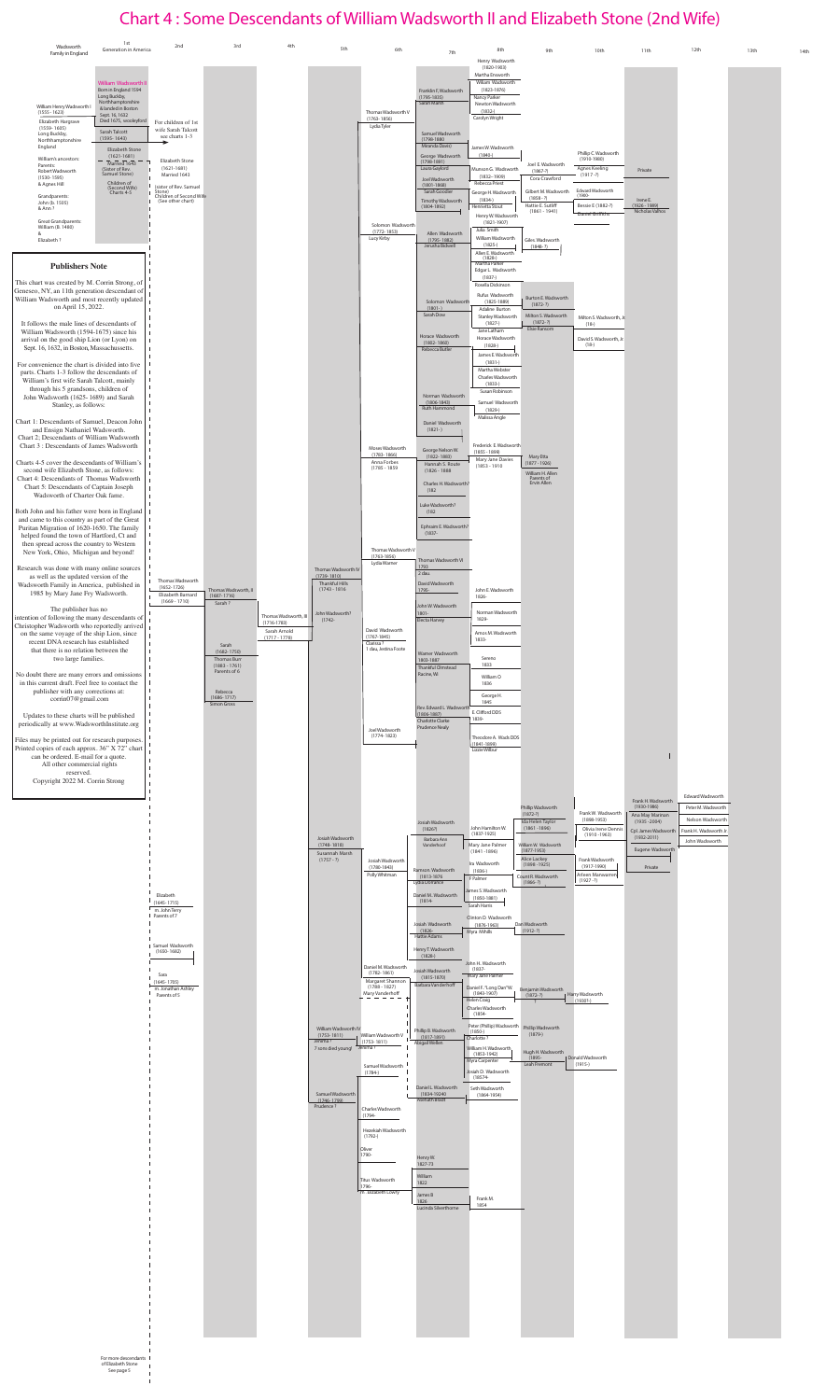|                                                                                                                                                                                                                                                                                 |                                                                                                      | <b>Simon Gross</b> |                                                                                  |                                                                                                                                                        | Rev. Edward L Wadsworth                                                                                                                                                                                           | <b>CPOI</b>                                                                                                                                                                                                                                                                         |                                                                                                                                                                                                 |                                                                                                                                                           |                                                                                                                                                     |                                                                                                               |  |
|---------------------------------------------------------------------------------------------------------------------------------------------------------------------------------------------------------------------------------------------------------------------------------|------------------------------------------------------------------------------------------------------|--------------------|----------------------------------------------------------------------------------|--------------------------------------------------------------------------------------------------------------------------------------------------------|-------------------------------------------------------------------------------------------------------------------------------------------------------------------------------------------------------------------|-------------------------------------------------------------------------------------------------------------------------------------------------------------------------------------------------------------------------------------------------------------------------------------|-------------------------------------------------------------------------------------------------------------------------------------------------------------------------------------------------|-----------------------------------------------------------------------------------------------------------------------------------------------------------|-----------------------------------------------------------------------------------------------------------------------------------------------------|---------------------------------------------------------------------------------------------------------------|--|
| Updates to these charts will be published<br>periodically at www.WadsworthInstitute.org<br>Files may be printed out for research purposes.<br>Printed copies of each approx. 36" X 72" chart<br>can be ordered. E-mail for a quote.<br>All other commercial rights<br>reserved. |                                                                                                      |                    |                                                                                  | Joel Wadsworth<br>$(1774 - 1823)$                                                                                                                      | $(1806 - 1887)$<br><b>Charlotte Clarke</b><br><b>Prudence Nealy</b>                                                                                                                                               | E. Clifford DDS<br>1839-<br>Theodore A. Wads DDS<br>$(1841 - 1899)$<br>Lizzie Wilbur                                                                                                                                                                                                |                                                                                                                                                                                                 |                                                                                                                                                           |                                                                                                                                                     |                                                                                                               |  |
| Copyright 2022 M. Corrin Strong                                                                                                                                                                                                                                                 | Elizabeth<br>$(1645 - 1715)$<br>m. John Terry<br>l Parents of 7                                      |                    | Josiah Wadsworth<br>$(1748 - 1818)$<br>Susannah Marsh<br>$(1757 - ?)$            | Josiah Wadsworth<br>$(1780 - 1843)$<br>Polly Whitman                                                                                                   | Josiah Wadsworth<br>(1826?)<br>Barbara Ann<br>Vanderhoof<br>Ramson. Wadsworth<br>$(1813 - 1876)$<br>Lydia Dorrance<br>Daniel M. Wadsworth<br>$(1814 -$                                                            | John Hamilton W.<br>$(1837-1925)$<br>Mary Jane Palmer<br>$(1841 - 1896)$<br>Ira Wadsworth<br>$(1836-)$<br><b>F</b> Palmer<br>James S. Wadsworth<br>$(1850 - 1881)$<br>Sarah Harris<br>Clinton D. Wadsworth                                                                          | Phillip Wadsworth<br>$(1872-?)$<br>Ida Helen Taylor<br>$(1861 - 1896)$<br>William W. Wadsworth<br>$(1877 - 1953)$<br><b>Alice Lackey</b><br>$(1898 - 1925)$<br>Count R. Wadsworth<br>$(1866-?)$ | Frank W. Wadsworth<br>$(1898 - 1953)$<br>Olivia Irene Dennis<br>$(1910 - 1963)$<br>Frank Wadsworth<br>$(1917 - 1990)$<br>Arleen Manwarren<br>$(1927 - ?)$ | Frank H. Wadsworth<br>$(1930-1986)$<br>Ana May Marinan<br>$(1935 - 2004)$<br>Cpl. James Wadsworth<br>$(1932 - 2011)$<br>Eugene Wadsworth<br>Private | <b>Edward Wadsworth</b><br>Peter M. Wadsworth<br>Nelson Wadsworth<br>Frank H. Wadsworth Jr.<br>John Wadsworth |  |
|                                                                                                                                                                                                                                                                                 | Samuel Wadsworth<br>$(1650 - 1682)$<br>Sara<br>$(1645 - 1705)$<br>m. Jonathan Ashley<br>Parents of 5 |                    | William Wadsworth IV<br>$(1753 - 1811)$<br>Jenima?<br>7 sons died young! Jenima? | Daniel M. Wadsworth<br>$(1782 - 1861)$<br>Margaret Shannon<br>$(1788 - 1827)$<br>Mary Vanderhoff<br>________<br>William Wadsworth V<br>$(1753 - 1811)$ | Josiah Wadsworth<br>$(1826 -$<br><b>Hattie Adams</b><br>Henry T. Wadsworth<br>$(1828-)$<br>Josiah Wadsworth<br>$(1815 - 1870)$<br>Barbara Vanderhoff<br>Phillip B. Wadsworth<br>$(1817 - 1891)$<br>Abigail Wellen | $(1876 - 1963)$<br><b>Myra Mihills</b><br>John H. Wadsworth<br>(1837-<br>Mary Jane Palmer<br>Daniel F. "Long Dan"W.<br>$(1843 - 1907)$<br><b>Helen Craig</b><br><b>Charles Wadsworth</b><br>(1854-<br>Peter (Phillip) Wadsworth<br>$(1850-)$<br>Charlotte?<br>William H. Wadsworth, | Dan Wadsworth<br>$(1912-?)$<br>Benjamin Wadsworth<br>$(1872-?)$<br><b>Phillip Wadsworth</b><br>$(1879-)$<br>Hugh H Wadsworth                                                                    | <b>I</b> Harry Wadsworth<br>$(1930?-)$                                                                                                                    |                                                                                                                                                     |                                                                                                               |  |

For more descendants | of Elizabeth Stone See page 5

| 1st<br>Wadsworth<br><b>Generation in America</b><br><b>Family in England</b>                                                                                                                                                                                                                                         | 2nd                                                                                               | 3rd | 4th | 5th | 6th                                                | 7th                                                                                                                               | 8th                                                                                                                                                                           | 9th                                                                                                            | 10th                                                                                 | 11th                                           | 12th | 13 <sub>th</sub> | 14th |
|----------------------------------------------------------------------------------------------------------------------------------------------------------------------------------------------------------------------------------------------------------------------------------------------------------------------|---------------------------------------------------------------------------------------------------|-----|-----|-----|----------------------------------------------------|-----------------------------------------------------------------------------------------------------------------------------------|-------------------------------------------------------------------------------------------------------------------------------------------------------------------------------|----------------------------------------------------------------------------------------------------------------|--------------------------------------------------------------------------------------|------------------------------------------------|------|------------------|------|
| <b>William Wadsworth II</b><br>Born in England 1594<br>Long Buckby,<br>Northhamptonshire<br>William Henry Wadsworth I<br>& landed in Boston<br>$(1555 - 1623)$<br>Sept. 16, 1632<br>Died 1675, wooleyford<br><b>Elizabeth Hargrave</b>                                                                               | For children of 1st                                                                               |     |     |     | Thomas Wadsworth V<br>$(1763 - 1856)$              | Franklin F, Wadsworth<br>$(1795 - 1835)$<br>Sarah Marsh                                                                           | Henry Wadsworth<br>$(1820-1903)$<br>Martha Ensworth<br>Wiliam Wadsworth<br>$(1823 - 1876)$<br><b>Nancy Parker</b><br>Newton Wadsworth<br>$(1832 - )$<br><b>Carolyn Wright</b> |                                                                                                                |                                                                                      |                                                |      |                  |      |
| $(1559 - 1605)$<br><b>Sarah Talcott</b><br>Long Buckby,<br>$(1595 - 1643)$<br>Northhamptonshire<br>England<br><b>Elizabeth Stone</b><br>$(1621 - 1681)$<br><b>William's ancestors:</b><br>Married 1643<br>Parents:<br>(Sister of Rev.<br>Robert Wadsworth<br>Samuel Stone)<br>$(1530 - 1595)$<br>& Agnes Hill        | wife Sarah Talcott<br>see charts 1-3<br><b>Elizabeth Stone</b><br>$(1621 - 1681)$<br>Married 1643 |     |     |     | Lydia Tyler                                        | Samuel Wadsworth<br>$(1798 - 1880)$<br>Miranda Davis)<br>George Wadsworth<br>$(1798-1891)$<br>Laura Gaylord<br>Joel Wadsworth     | James W. Wadsworth<br>$(1840-)$<br>Munson G. Wadsworth<br>$(1832 - 1909)$<br>Rebecca Priest                                                                                   | Joel E. Wadsworth<br>$(1867-?)$<br>Cora Crawford                                                               | Phillip C. Wadsworth<br>$(1910-1980)$<br><b>Agnes Keeling</b><br>$(1917 - ?)$        | Private                                        |      |                  |      |
| Children of<br>(Second Wife)<br>Charts 4-5<br>Grandparents:<br>John (b. 1505)<br>& Ann ?<br><b>Great Grandparents:</b><br>William (B. 1480)<br>Elizabeth ?                                                                                                                                                           | (sister of Rev. Samuel<br>Stone)<br>Children of Second Wife<br>(See other chart)                  |     |     |     | Solomon Wadsworth<br>$(1772 - 1853)$<br>Lucy Kirby | $(1801 - 1868)$<br>Sarah Goodier<br>Timothy Wadsworth<br>$(1804 - 1892)$<br>Allen Wadsworth<br>$(1795 - 1882)$<br>Jerusha Bidwell | George H. Wadsworth<br>$(1834-)$<br>Henrietta Stout<br>Henry W. Wadsworth<br>$(1821 - 1907)$<br>Julia Smith<br>William Wadsworth<br>$(1825 - )$                               | Gilbert M. Wadsworth<br>$(1858 - ?)$<br>Hattie E. Sutliff<br>$(1861 - 1941)$<br>Giles. Wadsworth<br>$(1848-?)$ | <b>Edward Wadsworth</b><br>$(1900 -$<br>Bessie E (1882-?)<br><b>Daniel Griffiths</b> | Irene E.<br>$(1926 - 1989)$<br>Nicholas Valhos |      |                  |      |
| <b>Publishers Note</b><br>This chart was created by M. Corrin Strong, of                                                                                                                                                                                                                                             |                                                                                                   |     |     |     |                                                    |                                                                                                                                   | Allen E. Wadsworth<br>$(1828 - )$<br><b>Martha Parker</b><br>Edgar L. Wadsworth<br>$(1837 - )$<br>Rosella Dickinson                                                           |                                                                                                                |                                                                                      |                                                |      |                  |      |
| Geneseo, NY, an 11th generation descendant of<br>William Wadsworth and most recently updated<br>on April 15, 2022.<br>It follows the male lines of descendants of<br>William Wadsworth (1594-1675) since his $\ \cdot\ $<br>arrival on the good ship Lion (or Lyon) on<br>Sept. 16, 1632, in Boston, Massachussetts. |                                                                                                   |     |     |     |                                                    | Solomon Wadsworth<br>$(1801 - )$<br>Sarah Dow<br>Horace Wadsworth<br>$(1802 - 1860)$                                              | Rufus Wadsworth<br>$(1825 - 1889)$<br><b>Adaline Burton</b><br><b>Stanley Wadsworth</b><br>$(1827 - )$<br>Jane Latham<br>Horace Wadsworth<br>$(1828 - )$                      | <b>Burton E. Wadsworth</b><br>$(1872-?)$<br>Milton S. Wadsworth<br>$(1872-?)$<br><b>Elsie Ransom</b>           | Milton S. Wadsworth, Jr.<br>$(18-)$<br>David S. Wadsworth, Jr.<br>$(18-)$            |                                                |      |                  |      |





1845

## Chart 4 : Some Descendants of William Wadsworth II and Elizabeth Stone (2nd Wife)